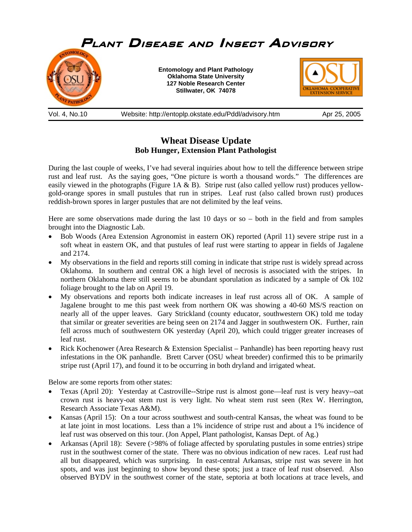

**Wheat Disease Update Bob Hunger, Extension Plant Pathologist** 

During the last couple of weeks, I've had several inquiries about how to tell the difference between stripe rust and leaf rust. As the saying goes, "One picture is worth a thousand words." The differences are easily viewed in the photographs (Figure 1A & B). Stripe rust (also called yellow rust) produces yellowgold-orange spores in small pustules that run in stripes. Leaf rust (also called brown rust) produces reddish-brown spores in larger pustules that are not delimited by the leaf veins.

Here are some observations made during the last 10 days or so – both in the field and from samples brought into the Diagnostic Lab.

- Bob Woods (Area Extension Agronomist in eastern OK) reported (April 11) severe stripe rust in a soft wheat in eastern OK, and that pustules of leaf rust were starting to appear in fields of Jagalene and 2174.
- My observations in the field and reports still coming in indicate that stripe rust is widely spread across Oklahoma. In southern and central OK a high level of necrosis is associated with the stripes. In northern Oklahoma there still seems to be abundant sporulation as indicated by a sample of Ok 102 foliage brought to the lab on April 19.
- My observations and reports both indicate increases in leaf rust across all of OK. A sample of Jagalene brought to me this past week from northern OK was showing a 40-60 MS/S reaction on nearly all of the upper leaves. Gary Strickland (county educator, southwestern OK) told me today that similar or greater severities are being seen on 2174 and Jagger in southwestern OK. Further, rain fell across much of southwestern OK yesterday (April 20), which could trigger greater increases of leaf rust.
- Rick Kochenower (Area Research & Extension Specialist Panhandle) has been reporting heavy rust infestations in the OK panhandle. Brett Carver (OSU wheat breeder) confirmed this to be primarily stripe rust (April 17), and found it to be occurring in both dryland and irrigated wheat.

Below are some reports from other states:

- Texas (April 20): Yesterday at Castroville--Stripe rust is almost gone—leaf rust is very heavy--oat crown rust is heavy-oat stem rust is very light. No wheat stem rust seen (Rex W. Herrington, Research Associate Texas A&M).
- Kansas (April 15): On a tour across southwest and south-central Kansas, the wheat was found to be at late joint in most locations. Less than a 1% incidence of stripe rust and about a 1% incidence of leaf rust was observed on this tour. (Jon Appel, Plant pathologist, Kansas Dept. of Ag.)
- Arkansas (April 18): Severe (>98% of foliage affected by sporulating pustules in some entries) stripe rust in the southwest corner of the state. There was no obvious indication of new races. Leaf rust had all but disappeared, which was surprising. In east-central Arkansas, stripe rust was severe in hot spots, and was just beginning to show beyond these spots; just a trace of leaf rust observed. Also observed BYDV in the southwest corner of the state, septoria at both locations at trace levels, and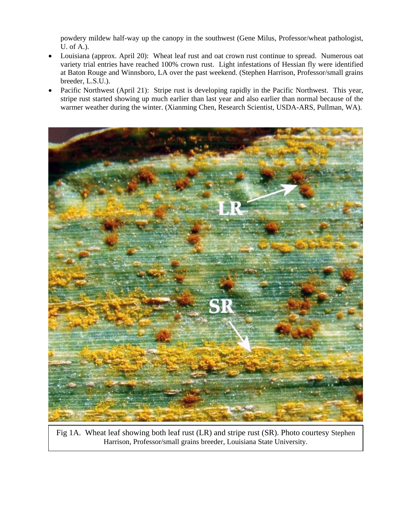powdery mildew half-way up the canopy in the southwest (Gene Milus, Professor/wheat pathologist, U. of A.).

- Louisiana (approx. April 20): Wheat leaf rust and oat crown rust continue to spread. Numerous oat variety trial entries have reached 100% crown rust. Light infestations of Hessian fly were identified at Baton Rouge and Winnsboro, LA over the past weekend. (Stephen Harrison, Professor/small grains breeder, L.S.U.).
- Pacific Northwest (April 21): Stripe rust is developing rapidly in the Pacific Northwest. This year, stripe rust started showing up much earlier than last year and also earlier than normal because of the warmer weather during the winter. (Xianming Chen, Research Scientist, USDA-ARS, Pullman, WA).



Fig 1A. Wheat leaf showing both leaf rust (LR) and stripe rust (SR). Photo courtesy Stephen Harrison, Professor/small grains breeder, Louisiana State University.